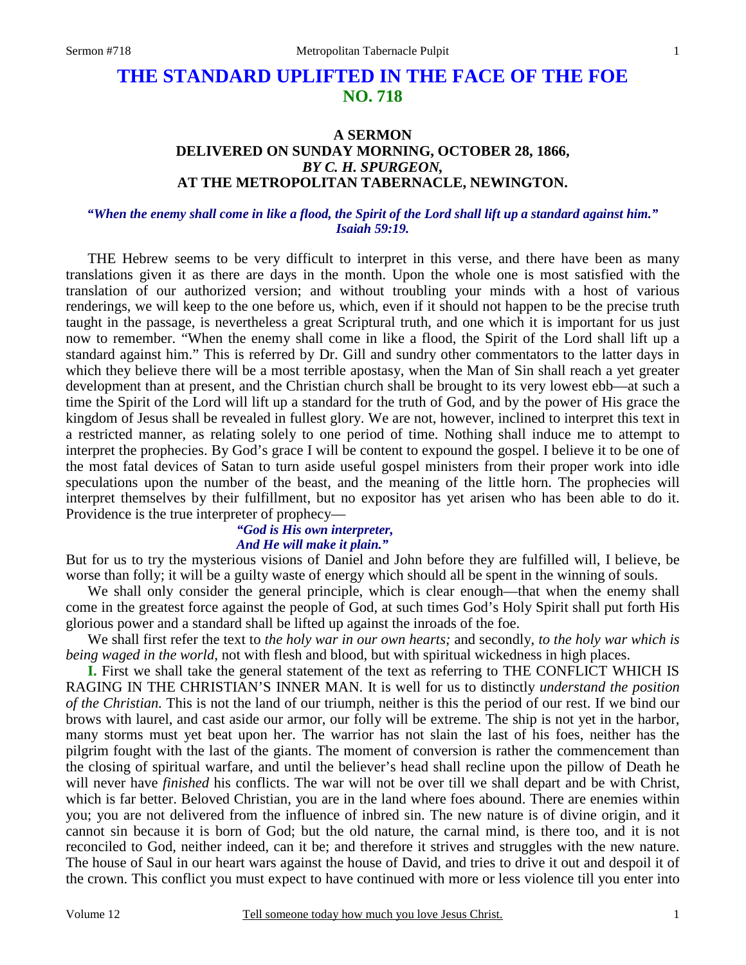# **THE STANDARD UPLIFTED IN THE FACE OF THE FOE NO. 718**

### **A SERMON DELIVERED ON SUNDAY MORNING, OCTOBER 28, 1866,**  *BY C. H. SPURGEON,*  **AT THE METROPOLITAN TABERNACLE, NEWINGTON.**

#### *"When the enemy shall come in like a flood, the Spirit of the Lord shall lift up a standard against him." Isaiah 59:19.*

THE Hebrew seems to be very difficult to interpret in this verse, and there have been as many translations given it as there are days in the month. Upon the whole one is most satisfied with the translation of our authorized version; and without troubling your minds with a host of various renderings, we will keep to the one before us, which, even if it should not happen to be the precise truth taught in the passage, is nevertheless a great Scriptural truth, and one which it is important for us just now to remember. "When the enemy shall come in like a flood, the Spirit of the Lord shall lift up a standard against him." This is referred by Dr. Gill and sundry other commentators to the latter days in which they believe there will be a most terrible apostasy, when the Man of Sin shall reach a yet greater development than at present, and the Christian church shall be brought to its very lowest ebb—at such a time the Spirit of the Lord will lift up a standard for the truth of God, and by the power of His grace the kingdom of Jesus shall be revealed in fullest glory. We are not, however, inclined to interpret this text in a restricted manner, as relating solely to one period of time. Nothing shall induce me to attempt to interpret the prophecies. By God's grace I will be content to expound the gospel. I believe it to be one of the most fatal devices of Satan to turn aside useful gospel ministers from their proper work into idle speculations upon the number of the beast, and the meaning of the little horn. The prophecies will interpret themselves by their fulfillment, but no expositor has yet arisen who has been able to do it. Providence is the true interpreter of prophecy—

# *"God is His own interpreter,*

#### *And He will make it plain."*

But for us to try the mysterious visions of Daniel and John before they are fulfilled will, I believe, be worse than folly; it will be a guilty waste of energy which should all be spent in the winning of souls.

We shall only consider the general principle, which is clear enough—that when the enemy shall come in the greatest force against the people of God, at such times God's Holy Spirit shall put forth His glorious power and a standard shall be lifted up against the inroads of the foe.

We shall first refer the text to *the holy war in our own hearts;* and secondly, *to the holy war which is being waged in the world,* not with flesh and blood, but with spiritual wickedness in high places.

**I.** First we shall take the general statement of the text as referring to THE CONFLICT WHICH IS RAGING IN THE CHRISTIAN'S INNER MAN. It is well for us to distinctly *understand the position of the Christian.* This is not the land of our triumph, neither is this the period of our rest. If we bind our brows with laurel, and cast aside our armor, our folly will be extreme. The ship is not yet in the harbor, many storms must yet beat upon her. The warrior has not slain the last of his foes, neither has the pilgrim fought with the last of the giants. The moment of conversion is rather the commencement than the closing of spiritual warfare, and until the believer's head shall recline upon the pillow of Death he will never have *finished* his conflicts. The war will not be over till we shall depart and be with Christ, which is far better. Beloved Christian, you are in the land where foes abound. There are enemies within you; you are not delivered from the influence of inbred sin. The new nature is of divine origin, and it cannot sin because it is born of God; but the old nature, the carnal mind, is there too, and it is not reconciled to God, neither indeed, can it be; and therefore it strives and struggles with the new nature. The house of Saul in our heart wars against the house of David, and tries to drive it out and despoil it of the crown. This conflict you must expect to have continued with more or less violence till you enter into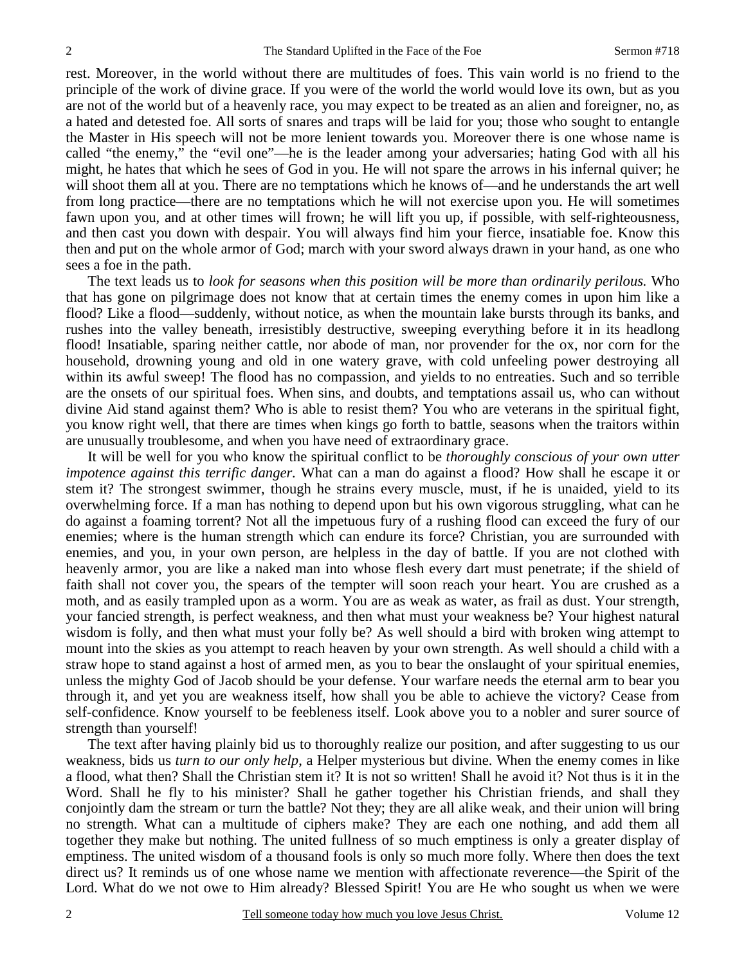rest. Moreover, in the world without there are multitudes of foes. This vain world is no friend to the principle of the work of divine grace. If you were of the world the world would love its own, but as you are not of the world but of a heavenly race, you may expect to be treated as an alien and foreigner, no, as a hated and detested foe. All sorts of snares and traps will be laid for you; those who sought to entangle the Master in His speech will not be more lenient towards you. Moreover there is one whose name is called "the enemy," the "evil one"—he is the leader among your adversaries; hating God with all his might, he hates that which he sees of God in you. He will not spare the arrows in his infernal quiver; he will shoot them all at you. There are no temptations which he knows of—and he understands the art well from long practice—there are no temptations which he will not exercise upon you. He will sometimes fawn upon you, and at other times will frown; he will lift you up, if possible, with self-righteousness, and then cast you down with despair. You will always find him your fierce, insatiable foe. Know this then and put on the whole armor of God; march with your sword always drawn in your hand, as one who sees a foe in the path.

The text leads us to *look for seasons when this position will be more than ordinarily perilous.* Who that has gone on pilgrimage does not know that at certain times the enemy comes in upon him like a flood? Like a flood—suddenly, without notice, as when the mountain lake bursts through its banks, and rushes into the valley beneath, irresistibly destructive, sweeping everything before it in its headlong flood! Insatiable, sparing neither cattle, nor abode of man, nor provender for the ox, nor corn for the household, drowning young and old in one watery grave, with cold unfeeling power destroying all within its awful sweep! The flood has no compassion, and yields to no entreaties. Such and so terrible are the onsets of our spiritual foes. When sins, and doubts, and temptations assail us, who can without divine Aid stand against them? Who is able to resist them? You who are veterans in the spiritual fight, you know right well, that there are times when kings go forth to battle, seasons when the traitors within are unusually troublesome, and when you have need of extraordinary grace.

It will be well for you who know the spiritual conflict to be *thoroughly conscious of your own utter impotence against this terrific danger.* What can a man do against a flood? How shall he escape it or stem it? The strongest swimmer, though he strains every muscle, must, if he is unaided, yield to its overwhelming force. If a man has nothing to depend upon but his own vigorous struggling, what can he do against a foaming torrent? Not all the impetuous fury of a rushing flood can exceed the fury of our enemies; where is the human strength which can endure its force? Christian, you are surrounded with enemies, and you, in your own person, are helpless in the day of battle. If you are not clothed with heavenly armor, you are like a naked man into whose flesh every dart must penetrate; if the shield of faith shall not cover you, the spears of the tempter will soon reach your heart. You are crushed as a moth, and as easily trampled upon as a worm. You are as weak as water, as frail as dust. Your strength, your fancied strength, is perfect weakness, and then what must your weakness be? Your highest natural wisdom is folly, and then what must your folly be? As well should a bird with broken wing attempt to mount into the skies as you attempt to reach heaven by your own strength. As well should a child with a straw hope to stand against a host of armed men, as you to bear the onslaught of your spiritual enemies, unless the mighty God of Jacob should be your defense. Your warfare needs the eternal arm to bear you through it, and yet you are weakness itself, how shall you be able to achieve the victory? Cease from self-confidence. Know yourself to be feebleness itself. Look above you to a nobler and surer source of strength than yourself!

The text after having plainly bid us to thoroughly realize our position, and after suggesting to us our weakness, bids us *turn to our only help*, a Helper mysterious but divine. When the enemy comes in like a flood, what then? Shall the Christian stem it? It is not so written! Shall he avoid it? Not thus is it in the Word. Shall he fly to his minister? Shall he gather together his Christian friends, and shall they conjointly dam the stream or turn the battle? Not they; they are all alike weak, and their union will bring no strength. What can a multitude of ciphers make? They are each one nothing, and add them all together they make but nothing. The united fullness of so much emptiness is only a greater display of emptiness. The united wisdom of a thousand fools is only so much more folly. Where then does the text direct us? It reminds us of one whose name we mention with affectionate reverence—the Spirit of the Lord. What do we not owe to Him already? Blessed Spirit! You are He who sought us when we were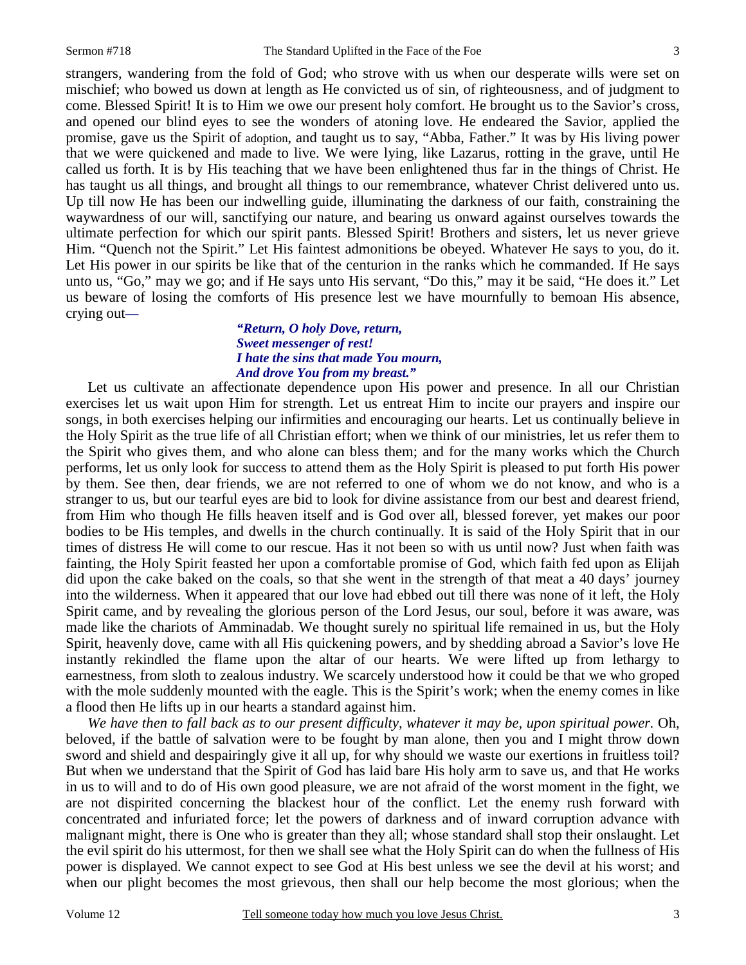strangers, wandering from the fold of God; who strove with us when our desperate wills were set on mischief; who bowed us down at length as He convicted us of sin, of righteousness, and of judgment to come. Blessed Spirit! It is to Him we owe our present holy comfort. He brought us to the Savior's cross, and opened our blind eyes to see the wonders of atoning love. He endeared the Savior, applied the promise, gave us the Spirit of adoption, and taught us to say, "Abba, Father." It was by His living power that we were quickened and made to live. We were lying, like Lazarus, rotting in the grave, until He called us forth. It is by His teaching that we have been enlightened thus far in the things of Christ. He has taught us all things, and brought all things to our remembrance, whatever Christ delivered unto us. Up till now He has been our indwelling guide, illuminating the darkness of our faith, constraining the waywardness of our will, sanctifying our nature, and bearing us onward against ourselves towards the ultimate perfection for which our spirit pants. Blessed Spirit! Brothers and sisters, let us never grieve Him. "Quench not the Spirit." Let His faintest admonitions be obeyed. Whatever He says to you, do it. Let His power in our spirits be like that of the centurion in the ranks which he commanded. If He says unto us, "Go," may we go; and if He says unto His servant, "Do this," may it be said, "He does it." Let us beware of losing the comforts of His presence lest we have mournfully to bemoan His absence, crying out*—* 

#### *"Return, O holy Dove, return, Sweet messenger of rest! I hate the sins that made You mourn, And drove You from my breast."*

Let us cultivate an affectionate dependence upon His power and presence. In all our Christian exercises let us wait upon Him for strength. Let us entreat Him to incite our prayers and inspire our songs, in both exercises helping our infirmities and encouraging our hearts. Let us continually believe in the Holy Spirit as the true life of all Christian effort; when we think of our ministries, let us refer them to the Spirit who gives them, and who alone can bless them; and for the many works which the Church performs, let us only look for success to attend them as the Holy Spirit is pleased to put forth His power by them. See then, dear friends, we are not referred to one of whom we do not know, and who is a stranger to us, but our tearful eyes are bid to look for divine assistance from our best and dearest friend, from Him who though He fills heaven itself and is God over all, blessed forever, yet makes our poor bodies to be His temples, and dwells in the church continually. It is said of the Holy Spirit that in our times of distress He will come to our rescue. Has it not been so with us until now? Just when faith was fainting, the Holy Spirit feasted her upon a comfortable promise of God, which faith fed upon as Elijah did upon the cake baked on the coals, so that she went in the strength of that meat a 40 days' journey into the wilderness. When it appeared that our love had ebbed out till there was none of it left, the Holy Spirit came, and by revealing the glorious person of the Lord Jesus, our soul, before it was aware, was made like the chariots of Amminadab. We thought surely no spiritual life remained in us, but the Holy Spirit, heavenly dove, came with all His quickening powers, and by shedding abroad a Savior's love He instantly rekindled the flame upon the altar of our hearts. We were lifted up from lethargy to earnestness, from sloth to zealous industry. We scarcely understood how it could be that we who groped with the mole suddenly mounted with the eagle. This is the Spirit's work; when the enemy comes in like a flood then He lifts up in our hearts a standard against him.

We have then to fall back as to our present difficulty, whatever it may be, upon spiritual power. Oh, beloved, if the battle of salvation were to be fought by man alone, then you and I might throw down sword and shield and despairingly give it all up, for why should we waste our exertions in fruitless toil? But when we understand that the Spirit of God has laid bare His holy arm to save us, and that He works in us to will and to do of His own good pleasure, we are not afraid of the worst moment in the fight, we are not dispirited concerning the blackest hour of the conflict. Let the enemy rush forward with concentrated and infuriated force; let the powers of darkness and of inward corruption advance with malignant might, there is One who is greater than they all; whose standard shall stop their onslaught. Let the evil spirit do his uttermost, for then we shall see what the Holy Spirit can do when the fullness of His power is displayed. We cannot expect to see God at His best unless we see the devil at his worst; and when our plight becomes the most grievous, then shall our help become the most glorious; when the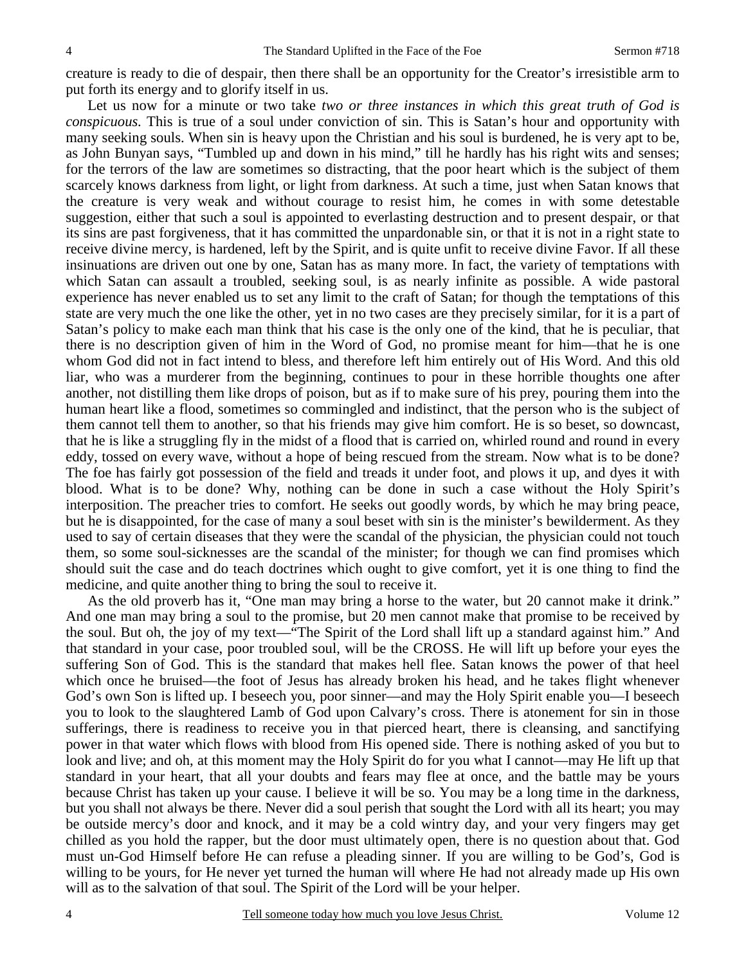creature is ready to die of despair, then there shall be an opportunity for the Creator's irresistible arm to put forth its energy and to glorify itself in us.

Let us now for a minute or two take *two or three instances in which this great truth of God is conspicuous.* This is true of a soul under conviction of sin. This is Satan's hour and opportunity with many seeking souls. When sin is heavy upon the Christian and his soul is burdened, he is very apt to be, as John Bunyan says, "Tumbled up and down in his mind," till he hardly has his right wits and senses; for the terrors of the law are sometimes so distracting, that the poor heart which is the subject of them scarcely knows darkness from light, or light from darkness. At such a time, just when Satan knows that the creature is very weak and without courage to resist him, he comes in with some detestable suggestion, either that such a soul is appointed to everlasting destruction and to present despair, or that its sins are past forgiveness, that it has committed the unpardonable sin, or that it is not in a right state to receive divine mercy, is hardened, left by the Spirit, and is quite unfit to receive divine Favor. If all these insinuations are driven out one by one, Satan has as many more. In fact, the variety of temptations with which Satan can assault a troubled, seeking soul, is as nearly infinite as possible. A wide pastoral experience has never enabled us to set any limit to the craft of Satan; for though the temptations of this state are very much the one like the other, yet in no two cases are they precisely similar, for it is a part of Satan's policy to make each man think that his case is the only one of the kind, that he is peculiar, that there is no description given of him in the Word of God, no promise meant for him—that he is one whom God did not in fact intend to bless, and therefore left him entirely out of His Word. And this old liar, who was a murderer from the beginning, continues to pour in these horrible thoughts one after another, not distilling them like drops of poison, but as if to make sure of his prey, pouring them into the human heart like a flood, sometimes so commingled and indistinct, that the person who is the subject of them cannot tell them to another, so that his friends may give him comfort. He is so beset, so downcast, that he is like a struggling fly in the midst of a flood that is carried on, whirled round and round in every eddy, tossed on every wave, without a hope of being rescued from the stream. Now what is to be done? The foe has fairly got possession of the field and treads it under foot, and plows it up, and dyes it with blood. What is to be done? Why, nothing can be done in such a case without the Holy Spirit's interposition. The preacher tries to comfort. He seeks out goodly words, by which he may bring peace, but he is disappointed, for the case of many a soul beset with sin is the minister's bewilderment. As they used to say of certain diseases that they were the scandal of the physician, the physician could not touch them, so some soul-sicknesses are the scandal of the minister; for though we can find promises which should suit the case and do teach doctrines which ought to give comfort, yet it is one thing to find the medicine, and quite another thing to bring the soul to receive it.

As the old proverb has it, "One man may bring a horse to the water, but 20 cannot make it drink." And one man may bring a soul to the promise, but 20 men cannot make that promise to be received by the soul. But oh, the joy of my text—"The Spirit of the Lord shall lift up a standard against him." And that standard in your case, poor troubled soul, will be the CROSS. He will lift up before your eyes the suffering Son of God. This is the standard that makes hell flee. Satan knows the power of that heel which once he bruised—the foot of Jesus has already broken his head, and he takes flight whenever God's own Son is lifted up. I beseech you, poor sinner—and may the Holy Spirit enable you—I beseech you to look to the slaughtered Lamb of God upon Calvary's cross. There is atonement for sin in those sufferings, there is readiness to receive you in that pierced heart, there is cleansing, and sanctifying power in that water which flows with blood from His opened side. There is nothing asked of you but to look and live; and oh, at this moment may the Holy Spirit do for you what I cannot—may He lift up that standard in your heart, that all your doubts and fears may flee at once, and the battle may be yours because Christ has taken up your cause. I believe it will be so. You may be a long time in the darkness, but you shall not always be there. Never did a soul perish that sought the Lord with all its heart; you may be outside mercy's door and knock, and it may be a cold wintry day, and your very fingers may get chilled as you hold the rapper, but the door must ultimately open, there is no question about that. God must un-God Himself before He can refuse a pleading sinner. If you are willing to be God's, God is willing to be yours, for He never yet turned the human will where He had not already made up His own will as to the salvation of that soul. The Spirit of the Lord will be your helper.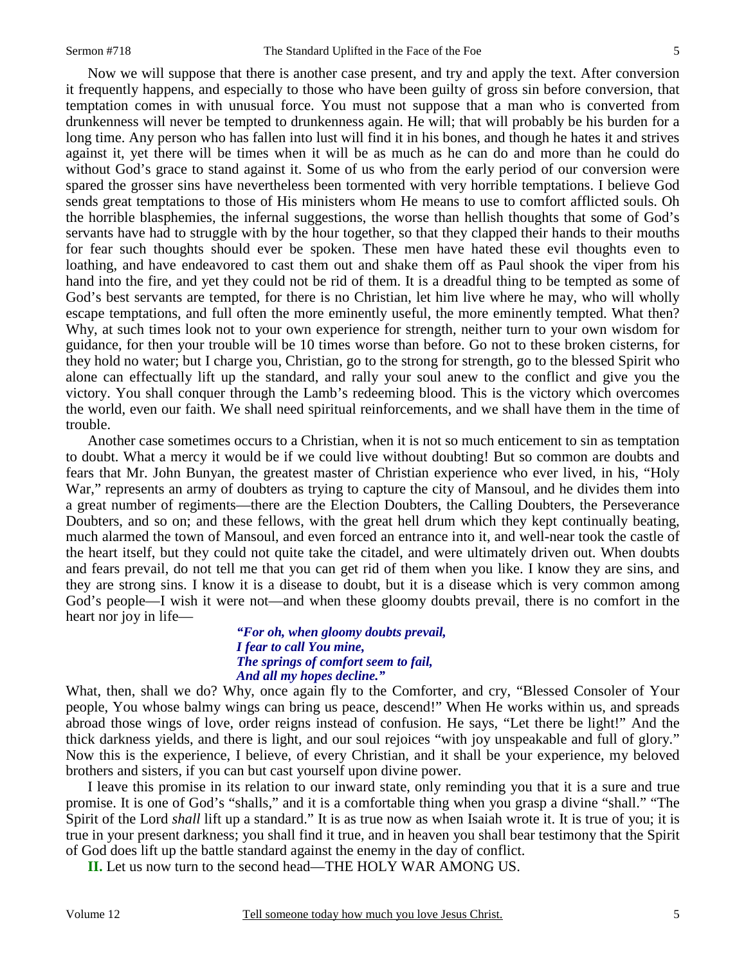Now we will suppose that there is another case present, and try and apply the text. After conversion it frequently happens, and especially to those who have been guilty of gross sin before conversion, that temptation comes in with unusual force. You must not suppose that a man who is converted from drunkenness will never be tempted to drunkenness again. He will; that will probably be his burden for a long time. Any person who has fallen into lust will find it in his bones, and though he hates it and strives against it, yet there will be times when it will be as much as he can do and more than he could do without God's grace to stand against it. Some of us who from the early period of our conversion were spared the grosser sins have nevertheless been tormented with very horrible temptations. I believe God sends great temptations to those of His ministers whom He means to use to comfort afflicted souls. Oh the horrible blasphemies, the infernal suggestions, the worse than hellish thoughts that some of God's servants have had to struggle with by the hour together, so that they clapped their hands to their mouths for fear such thoughts should ever be spoken. These men have hated these evil thoughts even to loathing, and have endeavored to cast them out and shake them off as Paul shook the viper from his hand into the fire, and yet they could not be rid of them. It is a dreadful thing to be tempted as some of God's best servants are tempted, for there is no Christian, let him live where he may, who will wholly escape temptations, and full often the more eminently useful, the more eminently tempted. What then? Why, at such times look not to your own experience for strength, neither turn to your own wisdom for guidance, for then your trouble will be 10 times worse than before. Go not to these broken cisterns, for they hold no water; but I charge you, Christian, go to the strong for strength, go to the blessed Spirit who alone can effectually lift up the standard, and rally your soul anew to the conflict and give you the victory. You shall conquer through the Lamb's redeeming blood. This is the victory which overcomes the world, even our faith. We shall need spiritual reinforcements, and we shall have them in the time of trouble.

Another case sometimes occurs to a Christian, when it is not so much enticement to sin as temptation to doubt. What a mercy it would be if we could live without doubting! But so common are doubts and fears that Mr. John Bunyan, the greatest master of Christian experience who ever lived, in his, "Holy War," represents an army of doubters as trying to capture the city of Mansoul, and he divides them into a great number of regiments—there are the Election Doubters, the Calling Doubters, the Perseverance Doubters, and so on; and these fellows, with the great hell drum which they kept continually beating, much alarmed the town of Mansoul, and even forced an entrance into it, and well-near took the castle of the heart itself, but they could not quite take the citadel, and were ultimately driven out. When doubts and fears prevail, do not tell me that you can get rid of them when you like. I know they are sins, and they are strong sins. I know it is a disease to doubt, but it is a disease which is very common among God's people—I wish it were not—and when these gloomy doubts prevail, there is no comfort in the heart nor joy in life—

> *"For oh, when gloomy doubts prevail, I fear to call You mine, The springs of comfort seem to fail, And all my hopes decline."*

What, then, shall we do? Why, once again fly to the Comforter, and cry, "Blessed Consoler of Your people, You whose balmy wings can bring us peace, descend!" When He works within us, and spreads abroad those wings of love, order reigns instead of confusion. He says, "Let there be light!" And the thick darkness yields, and there is light, and our soul rejoices "with joy unspeakable and full of glory." Now this is the experience, I believe, of every Christian, and it shall be your experience, my beloved brothers and sisters, if you can but cast yourself upon divine power.

I leave this promise in its relation to our inward state, only reminding you that it is a sure and true promise. It is one of God's "shalls," and it is a comfortable thing when you grasp a divine "shall." "The Spirit of the Lord *shall* lift up a standard." It is as true now as when Isaiah wrote it. It is true of you; it is true in your present darkness; you shall find it true, and in heaven you shall bear testimony that the Spirit of God does lift up the battle standard against the enemy in the day of conflict.

**II.** Let us now turn to the second head—THE HOLY WAR AMONG US.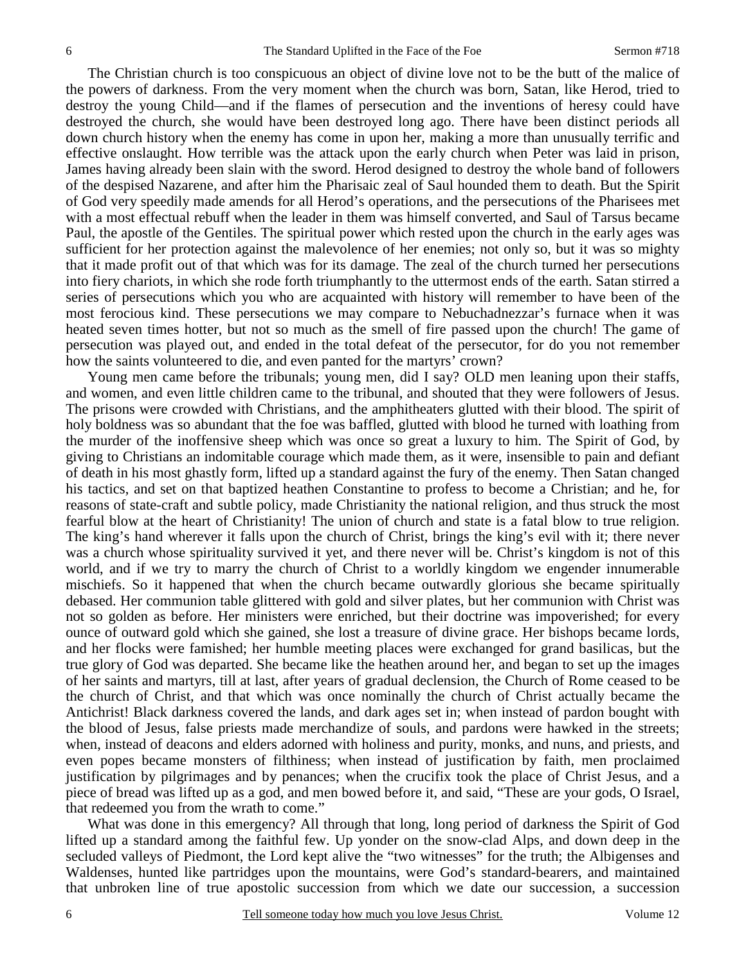The Christian church is too conspicuous an object of divine love not to be the butt of the malice of the powers of darkness. From the very moment when the church was born, Satan, like Herod, tried to destroy the young Child—and if the flames of persecution and the inventions of heresy could have destroyed the church, she would have been destroyed long ago. There have been distinct periods all down church history when the enemy has come in upon her, making a more than unusually terrific and effective onslaught. How terrible was the attack upon the early church when Peter was laid in prison, James having already been slain with the sword. Herod designed to destroy the whole band of followers of the despised Nazarene, and after him the Pharisaic zeal of Saul hounded them to death. But the Spirit of God very speedily made amends for all Herod's operations, and the persecutions of the Pharisees met with a most effectual rebuff when the leader in them was himself converted, and Saul of Tarsus became Paul, the apostle of the Gentiles. The spiritual power which rested upon the church in the early ages was sufficient for her protection against the malevolence of her enemies; not only so, but it was so mighty that it made profit out of that which was for its damage. The zeal of the church turned her persecutions into fiery chariots, in which she rode forth triumphantly to the uttermost ends of the earth. Satan stirred a series of persecutions which you who are acquainted with history will remember to have been of the most ferocious kind. These persecutions we may compare to Nebuchadnezzar's furnace when it was heated seven times hotter, but not so much as the smell of fire passed upon the church! The game of persecution was played out, and ended in the total defeat of the persecutor, for do you not remember how the saints volunteered to die, and even panted for the martyrs' crown?

Young men came before the tribunals; young men, did I say? OLD men leaning upon their staffs, and women, and even little children came to the tribunal, and shouted that they were followers of Jesus. The prisons were crowded with Christians, and the amphitheaters glutted with their blood. The spirit of holy boldness was so abundant that the foe was baffled, glutted with blood he turned with loathing from the murder of the inoffensive sheep which was once so great a luxury to him. The Spirit of God, by giving to Christians an indomitable courage which made them, as it were, insensible to pain and defiant of death in his most ghastly form, lifted up a standard against the fury of the enemy. Then Satan changed his tactics, and set on that baptized heathen Constantine to profess to become a Christian; and he, for reasons of state-craft and subtle policy, made Christianity the national religion, and thus struck the most fearful blow at the heart of Christianity! The union of church and state is a fatal blow to true religion. The king's hand wherever it falls upon the church of Christ, brings the king's evil with it; there never was a church whose spirituality survived it yet, and there never will be. Christ's kingdom is not of this world, and if we try to marry the church of Christ to a worldly kingdom we engender innumerable mischiefs. So it happened that when the church became outwardly glorious she became spiritually debased. Her communion table glittered with gold and silver plates, but her communion with Christ was not so golden as before. Her ministers were enriched, but their doctrine was impoverished; for every ounce of outward gold which she gained, she lost a treasure of divine grace. Her bishops became lords, and her flocks were famished; her humble meeting places were exchanged for grand basilicas, but the true glory of God was departed. She became like the heathen around her, and began to set up the images of her saints and martyrs, till at last, after years of gradual declension, the Church of Rome ceased to be the church of Christ, and that which was once nominally the church of Christ actually became the Antichrist! Black darkness covered the lands, and dark ages set in; when instead of pardon bought with the blood of Jesus, false priests made merchandize of souls, and pardons were hawked in the streets; when, instead of deacons and elders adorned with holiness and purity, monks, and nuns, and priests, and even popes became monsters of filthiness; when instead of justification by faith, men proclaimed justification by pilgrimages and by penances; when the crucifix took the place of Christ Jesus, and a piece of bread was lifted up as a god, and men bowed before it, and said, "These are your gods, O Israel, that redeemed you from the wrath to come."

What was done in this emergency? All through that long, long period of darkness the Spirit of God lifted up a standard among the faithful few. Up yonder on the snow-clad Alps, and down deep in the secluded valleys of Piedmont, the Lord kept alive the "two witnesses" for the truth; the Albigenses and Waldenses, hunted like partridges upon the mountains, were God's standard-bearers, and maintained that unbroken line of true apostolic succession from which we date our succession, a succession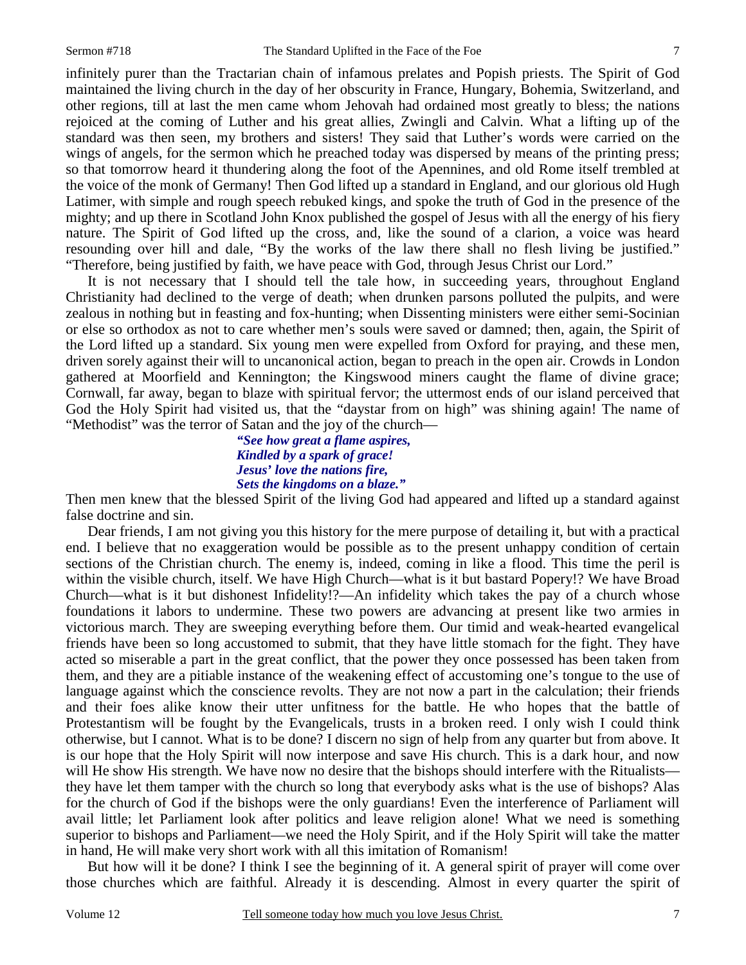infinitely purer than the Tractarian chain of infamous prelates and Popish priests. The Spirit of God maintained the living church in the day of her obscurity in France, Hungary, Bohemia, Switzerland, and other regions, till at last the men came whom Jehovah had ordained most greatly to bless; the nations rejoiced at the coming of Luther and his great allies, Zwingli and Calvin. What a lifting up of the standard was then seen, my brothers and sisters! They said that Luther's words were carried on the wings of angels, for the sermon which he preached today was dispersed by means of the printing press; so that tomorrow heard it thundering along the foot of the Apennines, and old Rome itself trembled at the voice of the monk of Germany! Then God lifted up a standard in England, and our glorious old Hugh Latimer, with simple and rough speech rebuked kings, and spoke the truth of God in the presence of the mighty; and up there in Scotland John Knox published the gospel of Jesus with all the energy of his fiery nature. The Spirit of God lifted up the cross, and, like the sound of a clarion, a voice was heard resounding over hill and dale, "By the works of the law there shall no flesh living be justified." "Therefore, being justified by faith, we have peace with God, through Jesus Christ our Lord."

It is not necessary that I should tell the tale how, in succeeding years, throughout England Christianity had declined to the verge of death; when drunken parsons polluted the pulpits, and were zealous in nothing but in feasting and fox-hunting; when Dissenting ministers were either semi-Socinian or else so orthodox as not to care whether men's souls were saved or damned; then, again, the Spirit of the Lord lifted up a standard. Six young men were expelled from Oxford for praying, and these men, driven sorely against their will to uncanonical action, began to preach in the open air. Crowds in London gathered at Moorfield and Kennington; the Kingswood miners caught the flame of divine grace; Cornwall, far away, began to blaze with spiritual fervor; the uttermost ends of our island perceived that God the Holy Spirit had visited us, that the "daystar from on high" was shining again! The name of "Methodist" was the terror of Satan and the joy of the church—

#### *"See how great a flame aspires, Kindled by a spark of grace! Jesus' love the nations fire, Sets the kingdoms on a blaze."*

Then men knew that the blessed Spirit of the living God had appeared and lifted up a standard against false doctrine and sin.

Dear friends, I am not giving you this history for the mere purpose of detailing it, but with a practical end. I believe that no exaggeration would be possible as to the present unhappy condition of certain sections of the Christian church. The enemy is, indeed, coming in like a flood. This time the peril is within the visible church, itself. We have High Church—what is it but bastard Popery!? We have Broad Church—what is it but dishonest Infidelity!?—An infidelity which takes the pay of a church whose foundations it labors to undermine. These two powers are advancing at present like two armies in victorious march. They are sweeping everything before them. Our timid and weak-hearted evangelical friends have been so long accustomed to submit, that they have little stomach for the fight. They have acted so miserable a part in the great conflict, that the power they once possessed has been taken from them, and they are a pitiable instance of the weakening effect of accustoming one's tongue to the use of language against which the conscience revolts. They are not now a part in the calculation; their friends and their foes alike know their utter unfitness for the battle. He who hopes that the battle of Protestantism will be fought by the Evangelicals, trusts in a broken reed. I only wish I could think otherwise, but I cannot. What is to be done? I discern no sign of help from any quarter but from above. It is our hope that the Holy Spirit will now interpose and save His church. This is a dark hour, and now will He show His strength. We have now no desire that the bishops should interfere with the Ritualists they have let them tamper with the church so long that everybody asks what is the use of bishops? Alas for the church of God if the bishops were the only guardians! Even the interference of Parliament will avail little; let Parliament look after politics and leave religion alone! What we need is something superior to bishops and Parliament—we need the Holy Spirit, and if the Holy Spirit will take the matter in hand, He will make very short work with all this imitation of Romanism!

But how will it be done? I think I see the beginning of it. A general spirit of prayer will come over those churches which are faithful. Already it is descending. Almost in every quarter the spirit of